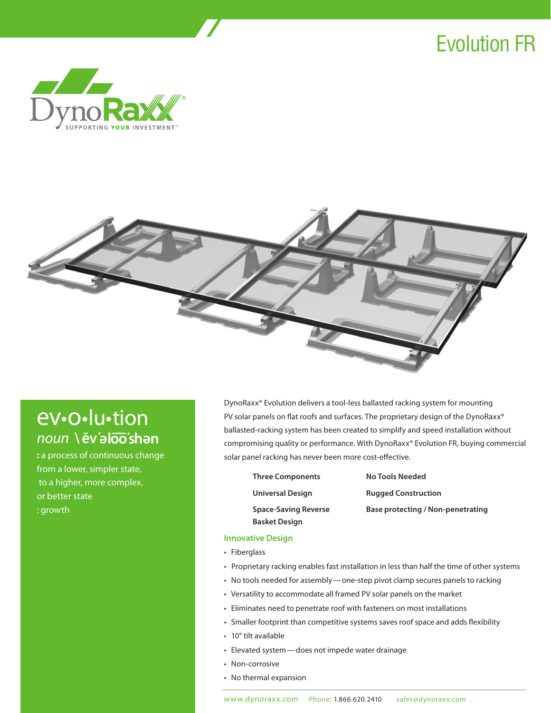# Evolution FR





# ev•o•lu•tion *noun* **\ e˘v´ <sup>e</sup> <sup>e</sup> loo´sh — n**

**:** a process of continuous change from a lower, simpler state, to a higher, more complex, or better state : growth

DynoRaxx® Evolution delivers a tool-less ballasted racking system for mounting PV solar panels on flat roofs and surfaces. The proprietary design of the DynoRaxx® ballasted-racking system has been created to simplify and speed installation without compromising quality or performance. With DynoRaxx® Evolution FR, buying commercial solar panel racking has never been more cost-effective.

- **Three Components No Tools Needed Basket Design**
- **Universal Design Rugged Construction Space-Saving Reverse Base protecting / Non-penetrating**

# **Innovative Design**

- • Fiberglass
- Proprietary racking enables fast installation in less than half the time of other systems
- No tools needed for assembly one-step pivot clamp secures panels to racking
- • Versatility to accommodate all framed PV solar panels on the market
- • Eliminates need to penetrate roof with fasteners on most installations
- Smaller footprint than competitive systems saves roof space and adds flexibility
- • 10° tilt available
- • Elevated system—does not impede water drainage
- Non-corrosive
- • No thermal expansion